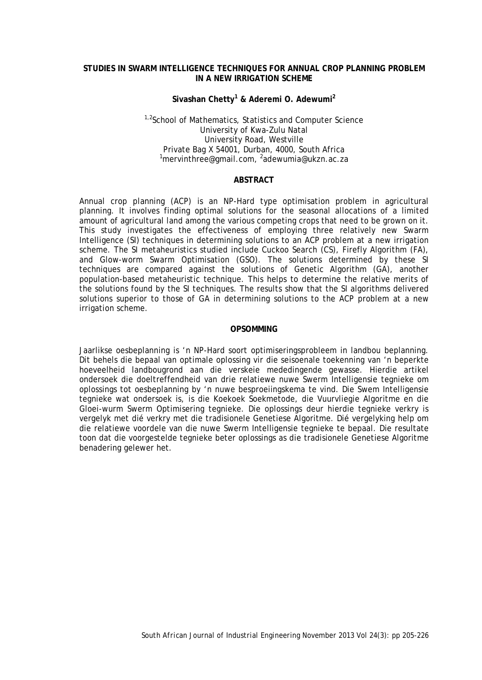### **STUDIES IN SWARM INTELLIGENCE TECHNIQUES FOR ANNUAL CROP PLANNING PROBLEM IN A NEW IRRIGATION SCHEME**

# **Sivashan Chetty1 & Aderemi O. Adewumi2**

## <sup>1,2</sup>School of Mathematics, Statistics and Computer Science University of Kwa-Zulu Natal University Road, Westville Private Bag X 54001, Durban, 4000, South Africa <sup>1</sup>mervinthree@gmail.com, <sup>2</sup>adewumia@ukzn.ac.za

## **ABSTRACT**

Annual crop planning (ACP) is an NP-Hard type optimisation problem in agricultural planning. It involves finding optimal solutions for the seasonal allocations of a limited amount of agricultural land among the various competing crops that need to be grown on it. This study investigates the effectiveness of employing three relatively new Swarm Intelligence (SI) techniques in determining solutions to an ACP problem at a new irrigation scheme. The SI metaheuristics studied include Cuckoo Search (CS), Firefly Algorithm (FA), and Glow-worm Swarm Optimisation (GSO). The solutions determined by these SI techniques are compared against the solutions of Genetic Algorithm (GA), another population-based metaheuristic technique. This helps to determine the relative merits of the solutions found by the SI techniques. The results show that the SI algorithms delivered solutions superior to those of GA in determining solutions to the ACP problem at a new irrigation scheme.

#### **OPSOMMING**

Jaarlikse oesbeplanning is 'n NP-Hard soort optimiseringsprobleem in landbou beplanning. Dit behels die bepaal van optimale oplossing vir die seisoenale toekenning van 'n beperkte hoeveelheid landbougrond aan die verskeie mededingende gewasse. Hierdie artikel ondersoek die doeltreffendheid van drie relatiewe nuwe Swerm Intelligensie tegnieke om oplossings tot oesbeplanning by 'n nuwe besproeiingskema te vind. Die Swem Intelligensie tegnieke wat ondersoek is, is die Koekoek Soekmetode, die Vuurvliegie Algoritme en die Gloei-wurm Swerm Optimisering tegnieke. Die oplossings deur hierdie tegnieke verkry is vergelyk met dié verkry met die tradisionele Genetiese Algoritme. Dié vergelyking help om die relatiewe voordele van die nuwe Swerm Intelligensie tegnieke te bepaal. Die resultate toon dat die voorgestelde tegnieke beter oplossings as die tradisionele Genetiese Algoritme benadering gelewer het.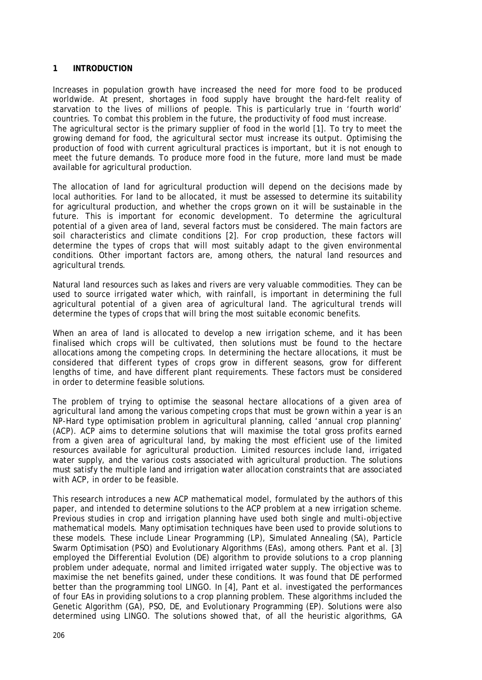### **1 INTRODUCTION**

Increases in population growth have increased the need for more food to be produced worldwide. At present, shortages in food supply have brought the hard-felt reality of starvation to the lives of millions of people. This is particularly true in 'fourth world' countries. To combat this problem in the future, the productivity of food must increase. The agricultural sector is the primary supplier of food in the world [1]. To try to meet the growing demand for food, the agricultural sector must increase its output. Optimising the production of food with current agricultural practices is important, but it is not enough to meet the *future* demands. To produce more food in the future, more land must be made available for agricultural production.

The allocation of land for agricultural production will depend on the decisions made by local authorities. For land to be allocated, it must be assessed to determine its suitability for agricultural production, and whether the crops grown on it will be sustainable in the future. This is important for economic development. To determine the agricultural potential of a given area of land, several factors must be considered. The main factors are soil characteristics and climate conditions [2]. For crop production, these factors will determine the types of crops that will most suitably adapt to the given environmental conditions. Other important factors are, among others, the natural land resources and agricultural trends.

Natural land resources such as lakes and rivers are very valuable commodities. They can be used to source irrigated water which, with rainfall, is important in determining the full agricultural potential of a given area of agricultural land. The agricultural trends will determine the types of crops that will bring the most suitable economic benefits.

When an area of land is allocated to develop a new irrigation scheme, and it has been finalised which crops will be cultivated, then solutions must be found to the hectare allocations among the competing crops. In determining the hectare allocations, it must be considered that different types of crops grow in different seasons, grow for different lengths of time, and have different plant requirements. These factors must be considered in order to determine feasible solutions.

The problem of trying to optimise the seasonal hectare allocations of a given area of agricultural land among the various competing crops that must be grown within a year is an NP-Hard type optimisation problem in agricultural planning, called 'annual crop planning' (ACP). ACP aims to determine solutions that will maximise the total gross profits earned from a given area of agricultural land, by making the most efficient use of the limited resources available for agricultural production. Limited resources include land, irrigated water supply, and the various costs associated with agricultural production. The solutions must satisfy the multiple land and irrigation water allocation constraints that are associated with ACP, in order to be feasible.

This research introduces a new ACP mathematical model, formulated by the authors of this paper, and intended to determine solutions to the ACP problem at a *new* irrigation scheme. Previous studies in crop and irrigation planning have used both single and multi-objective mathematical models. Many optimisation techniques have been used to provide solutions to these models. These include Linear Programming (LP), Simulated Annealing (SA), Particle Swarm Optimisation (PSO) and Evolutionary Algorithms (EAs), among others. Pant et al. [3] employed the Differential Evolution (DE) algorithm to provide solutions to a crop planning problem under adequate, normal and limited irrigated water supply. The objective was to maximise the net benefits gained, under these conditions. It was found that DE performed better than the programming tool LINGO. In [4], Pant et al. investigated the performances of four EAs in providing solutions to a crop planning problem. These algorithms included the Genetic Algorithm (GA), PSO, DE, and Evolutionary Programming (EP). Solutions were also determined using LINGO. The solutions showed that, of all the heuristic algorithms, GA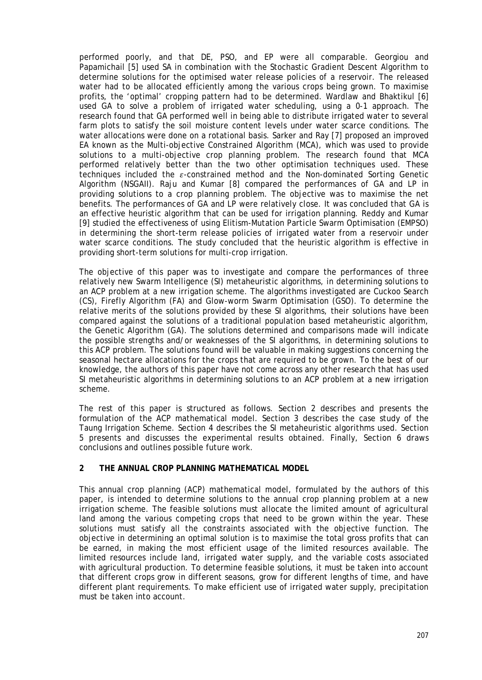performed poorly, and that DE, PSO, and EP were all comparable. Georgiou and Papamichail [5] used SA in combination with the Stochastic Gradient Descent Algorithm to determine solutions for the optimised water release policies of a reservoir. The released water had to be allocated efficiently among the various crops being grown. To maximise profits, the 'optimal' cropping pattern had to be determined. Wardlaw and Bhaktikul [6] used GA to solve a problem of irrigated water scheduling, using a 0-1 approach. The research found that GA performed well in being able to distribute irrigated water to several farm plots to satisfy the soil moisture content levels under water scarce conditions. The water allocations were done on a rotational basis. Sarker and Ray [7] proposed an improved EA known as the Multi-objective Constrained Algorithm (MCA), which was used to provide solutions to a multi-objective crop planning problem. The research found that MCA performed relatively better than the two other optimisation techniques used. These techniques included the  $\varepsilon$ -constrained method and the Non-dominated Sorting Genetic Algorithm (NSGAII). Raju and Kumar [8] compared the performances of GA and LP in providing solutions to a crop planning problem. The objective was to maximise the net benefits. The performances of GA and LP were relatively close. It was concluded that GA is an effective heuristic algorithm that can be used for irrigation planning. Reddy and Kumar [9] studied the effectiveness of using Elitism-Mutation Particle Swarm Optimisation (EMPSO) in determining the short-term release policies of irrigated water from a reservoir under water scarce conditions. The study concluded that the heuristic algorithm is effective in providing short-term solutions for multi-crop irrigation.

The objective of this paper was to investigate and compare the performances of three relatively new Swarm Intelligence (SI) metaheuristic algorithms, in determining solutions to an ACP problem at a new irrigation scheme. The algorithms investigated are Cuckoo Search (CS), Firefly Algorithm (FA) and Glow-worm Swarm Optimisation (GSO). To determine the relative merits of the solutions provided by these SI algorithms, their solutions have been compared against the solutions of a traditional population based metaheuristic algorithm, the Genetic Algorithm (GA). The solutions determined and comparisons made will indicate the possible strengths and/or weaknesses of the SI algorithms, in determining solutions to this ACP problem. The solutions found will be valuable in making suggestions concerning the seasonal hectare allocations for the crops that are required to be grown. To the best of our knowledge, the authors of this paper have not come across any other research that has used SI metaheuristic algorithms in determining solutions to an ACP problem at a new irrigation scheme.

The rest of this paper is structured as follows. Section 2 describes and presents the formulation of the ACP mathematical model. Section 3 describes the case study of the Taung Irrigation Scheme. Section 4 describes the SI metaheuristic algorithms used. Section 5 presents and discusses the experimental results obtained. Finally, Section 6 draws conclusions and outlines possible future work.

## **2 THE ANNUAL CROP PLANNING MATHEMATICAL MODEL**

This annual crop planning (ACP) mathematical model, formulated by the authors of this paper, is intended to determine solutions to the annual crop planning problem at a *new* irrigation scheme. The feasible solutions must allocate the limited amount of agricultural land among the various competing crops that need to be grown within the year. These solutions must satisfy all the constraints associated with the objective function. The objective in determining an optimal solution is to maximise the total gross profits that can be earned, in making the most efficient usage of the limited resources available. The limited resources include land, irrigated water supply, and the variable costs associated with agricultural production. To determine feasible solutions, it must be taken into account that different crops grow in different seasons, grow for different lengths of time, and have different plant requirements. To make efficient use of irrigated water supply, precipitation must be taken into account.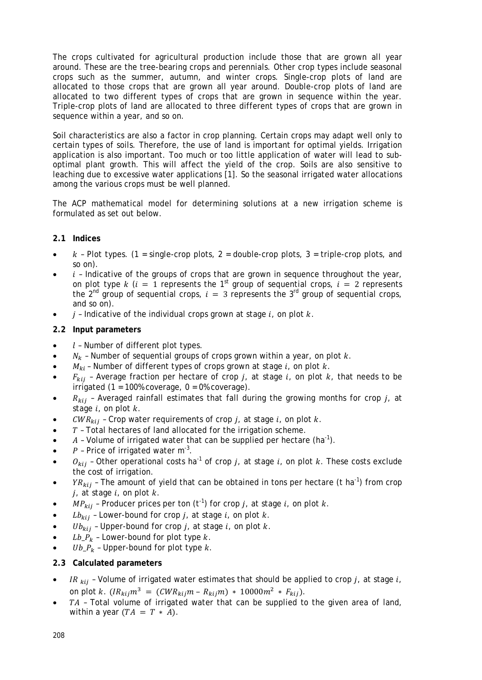The crops cultivated for agricultural production include those that are grown all year around. These are the tree-bearing crops and perennials. Other crop types include seasonal crops such as the summer, autumn, and winter crops. Single-crop plots of land are allocated to those crops that are grown all year around. Double-crop plots of land are allocated to two different types of crops that are grown in sequence within the year. Triple-crop plots of land are allocated to three different types of crops that are grown in sequence within a year, and so on.

Soil characteristics are also a factor in crop planning. Certain crops may adapt well only to certain types of soils. Therefore, the use of land is important for optimal yields. Irrigation application is also important. Too much or too little application of water will lead to suboptimal plant growth. This will affect the yield of the crop. Soils are also sensitive to leaching due to excessive water applications [1]. So the seasonal irrigated water allocations among the various crops must be well planned.

The ACP mathematical model for determining solutions at a new irrigation scheme is formulated as set out below.

## **2.1 Indices**

- $k$  Plot types. (1 = single-crop plots, 2 = double-crop plots, 3 = triple-crop plots, and so on).
- $i$  Indicative of the groups of crops that are grown in sequence throughout the year, on plot type k ( $i = 1$  represents the 1<sup>st</sup> group of sequential crops,  $i = 2$  represents the 2<sup>nd</sup> group of sequential crops,  $i = 3$  represents the 3<sup>rd</sup> group of sequential crops, and so on).
- $i$  Indicative of the individual crops grown at stage  $i$ , on plot  $k$ .

# **2.2 Input parameters**

- $l$  Number of different plot types.
- $N_k$  Number of sequential groups of crops grown within a year, on plot  $k$ .
- $M_{ki}$  Number of different types of crops grown at stage i, on plot k.
- $F_{kij}$  Average fraction per hectare of crop j, at stage i, on plot k, that needs to be irrigated (1 = 100% coverage,  $0 = 0$ % coverage).
- $R_{kij}$  Averaged rainfall estimates that fall during the growing months for crop  $j_i$ , at stage  $i$ , on plot  $k$ .
- $CWR_{kii}$  Crop water requirements of crop *j*, at stage *i*, on plot *k*.
- $T$  Total hectares of land allocated for the irrigation scheme.
- $A$  Volume of irrigated water that can be supplied per hectare (ha<sup>-1</sup>).
- $P$  Price of irrigated water m<sup>-3</sup>.
- $o_{kij}$  Other operational costs ha<sup>-1</sup> of crop *i*, at stage *i*, on plot *k*. These costs exclude the cost of irrigation.
- $YR_{kij}$  The amount of yield that can be obtained in tons per hectare (t ha<sup>-1</sup>) from crop  $j$ , at stage  $i$ , on plot  $k$ .
- $MP_{kij}$  Producer prices per ton (t<sup>-1</sup>) for crop j, at stage i, on plot k.
- $Lb_{kii}$  Lower-bound for crop  $j_i$ , at stage  $i_j$ , on plot  $k$ .
- $Ub_{kii}$  Upper-bound for crop *i*, at stage *i*, on plot *k*.
- $Lb_{-}P_{k}$  Lower-bound for plot type  $k$ .
- $Ub_{-}P_{k}$  Upper-bound for plot type k.
- **2.3 Calculated parameters**
- IR  $_{kii}$  Volume of irrigated water estimates that should be applied to crop *i*, at stage *i*, on plot k.  $(IR_{kij}m^3 = (CWR_{kij}m - R_{kij}m) * 10000m^2 * F_{kij}).$
- $TA$  Total volume of irrigated water that can be supplied to the given area of land, within a year  $(TA = T \cdot A)$ .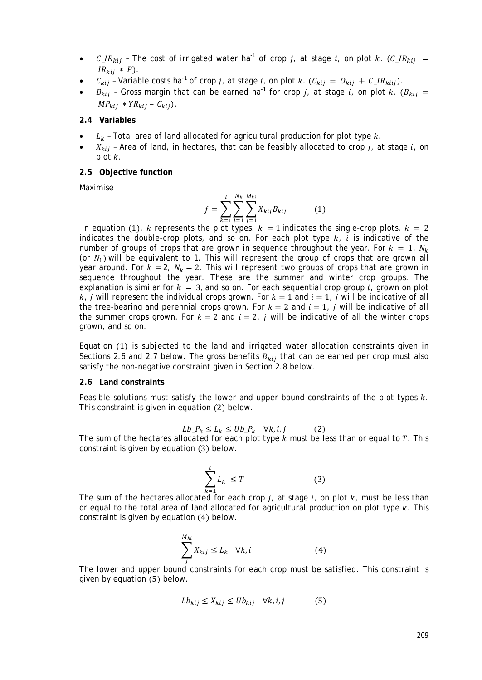- $C_{\perp}IR_{kii}$  The cost of irrigated water ha<sup>-1</sup> of crop *i*, at stage *i*, on plot *k*. ( $C_{\perp}IR_{kii}$  =  $IR_{kij} * P$ .
- $C_{kij}$  Variable costs ha<sup>-1</sup> of crop j, at stage i, on plot k.  $(C_{kij} = O_{kij} + C_{l}R_{kiii}).$
- $B_{kii}$  Gross margin that can be earned ha<sup>-1</sup> for crop j, at stage i, on plot k. ( $B_{kii}$  =  $MP_{kij} * YR_{kij} - C_{kij}.$

### **2.4 Variables**

- $L_k$  Total area of land allocated for agricultural production for plot type  $k$ .
- $X_{kij}$  Area of land, in hectares, that can be feasibly allocated to crop j, at stage i, on plot  $k$ .

### **2.5 Objective function**

Maximise

$$
f = \sum_{k=1}^{l} \sum_{i=1}^{N_k} \sum_{j=1}^{M_{ki}} X_{kij} B_{kij}
$$
 (1)

In equation (1), k represents the plot types.  $k = 1$  indicates the single-crop plots,  $k = 2$ indicates the double-crop plots, and so on. For each plot type  $k$ ,  $\hat{i}$  is indicative of the number of groups of crops that are grown in sequence throughout the year. For  $k = 1$ ,  $N_k$ (or  $N_1$ ) will be equivalent to 1. This will represent the group of crops that are grown all year around. For  $k = 2$ ,  $N_k = 2$ . This will represent two groups of crops that are grown in sequence throughout the year. These are the summer and winter crop groups. The explanation is similar for  $k = 3$ , and so on. For each sequential crop group i, grown on plot  $k$ , *i* will represent the individual crops grown. For  $k = 1$  and  $i = 1$ , *i* will be indicative of all the tree-bearing and perennial crops grown. For  $k = 2$  and  $i = 1$ , *i* will be indicative of all the summer crops grown. For  $k = 2$  and  $i = 2$ , *i* will be indicative of all the winter crops grown, and so on.

Equation (1) is subjected to the land and irrigated water allocation constraints given in Sections 2.6 and 2.7 below. The gross benefits  $B_{kij}$  that can be earned per crop must also satisfy the non-negative constraint given in Section 2.8 below.

### **2.6 Land constraints**

Feasible solutions must satisfy the lower and upper bound constraints of the plot types  $k$ . This constraint is given in equation (2) below.

$$
Lb_{-}P_{k} \le L_{k} \le Ub_{-}P_{k} \quad \forall k, i, j \tag{2}
$$

The sum of the hectares allocated for each plot type  $k$  must be less than or equal to  $T$ . This constraint is given by equation (3) below.

$$
\sum_{k=1}^{l} L_k \le T \tag{3}
$$

The sum of the hectares allocated for each crop *j*, at stage *i*, on plot *k*, must be less than or equal to the total area of land allocated for agricultural production on plot type  $k$ . This constraint is given by equation (4) below.

$$
\sum_{j}^{M_{ki}} X_{kij} \le L_k \quad \forall k, i \tag{4}
$$

 The lower and upper bound constraints for each crop must be satisfied. This constraint is given by equation (5) below.

$$
Lb_{kij} \le X_{kij} \le Ub_{kij} \quad \forall k, i, j \tag{5}
$$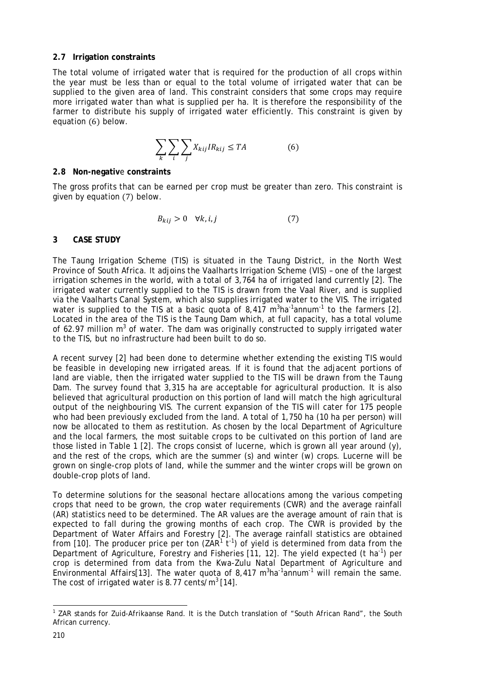## **2.7 Irrigation constraints**

The total volume of irrigated water that is required for the production of all crops within the year must be less than or equal to the total volume of irrigated water that can be supplied to the given area of land. This constraint considers that some crops may require more irrigated water than what is supplied per ha. It is therefore the responsibility of the farmer to distribute his supply of irrigated water efficiently. This constraint is given by equation (6) below.

$$
\sum_{k} \sum_{i} \sum_{j} X_{kij} I R_{kij} \le TA \tag{6}
$$

# **2.8 Non-negativ**e **constraints**

The gross profits that can be earned per crop must be greater than zero. This constraint is given by equation (7) below.

$$
B_{kij} > 0 \quad \forall k, i, j \tag{7}
$$

# **3 CASE STUDY**

The Taung Irrigation Scheme (TIS) is situated in the Taung District, in the North West Province of South Africa. It adjoins the Vaalharts Irrigation Scheme (VIS) – one of the largest irrigation schemes in the world, with a total of 3,764 ha of irrigated land currently [2]. The irrigated water currently supplied to the TIS is drawn from the Vaal River, and is supplied via the Vaalharts Canal System, which also supplies irrigated water to the VIS. The irrigated water is supplied to the TIS at a basic quota of 8,417  $m^3$ ha<sup>-1</sup>annum<sup>-1</sup> to the farmers [2]. Located in the area of the TIS is the Taung Dam which, at full capacity, has a total volume of 62.97 million  $m<sup>3</sup>$  of water. The dam was originally constructed to supply irrigated water to the TIS, but no infrastructure had been built to do so.

A recent survey [2] had been done to determine whether extending the existing TIS would be feasible in developing new irrigated areas. If it is found that the adjacent portions of land are viable, then the irrigated water supplied to the TIS will be drawn from the Taung Dam. The survey found that 3,315 ha are acceptable for agricultural production. It is also believed that agricultural production on this portion of land will match the high agricultural output of the neighbouring VIS. The current expansion of the TIS will cater for 175 people who had been previously excluded from the land. A total of 1,750 ha (10 ha per person) will now be allocated to them as restitution. As chosen by the local Department of Agriculture and the local farmers, the most suitable crops to be cultivated on this portion of land are those listed in Table 1 [2]. The crops consist of lucerne, which is grown all year around (y), and the rest of the crops, which are the summer (s) and winter (w) crops. Lucerne will be grown on single-crop plots of land, while the summer and the winter crops will be grown on double-crop plots of land.

To determine solutions for the seasonal hectare allocations among the various competing crops that need to be grown, the crop water requirements (CWR) and the average rainfall (AR) statistics need to be determined. The AR values are the average amount of rain that is expected to fall during the growing months of each crop. The CWR is provided by the Department of Water Affairs and Forestry [2]. The average rainfall statistics are obtained from [[1](#page-5-0)0]. The producer price per ton ( $\text{ZAR}^1$  t<sup>-1</sup>) of yield is determined from data from the Department of Agriculture, Forestry and Fisheries [11, 12]. The yield expected (t ha<sup>-1</sup>) per crop is determined from data from the Kwa-Zulu Natal Department of Agriculture and Environmental Affairs[13]. The water quota of 8,417 m<sup>3</sup>ha<sup>-1</sup>annum<sup>-1</sup> will remain the same. The cost of irrigated water is 8.77 cents/ $m^3$  [14].

<span id="page-5-0"></span><sup>&</sup>lt;sup>1</sup> ZAR stands for Zuid-Afrikaanse Rand. It is the Dutch translation of "South African Rand", the South African currency. l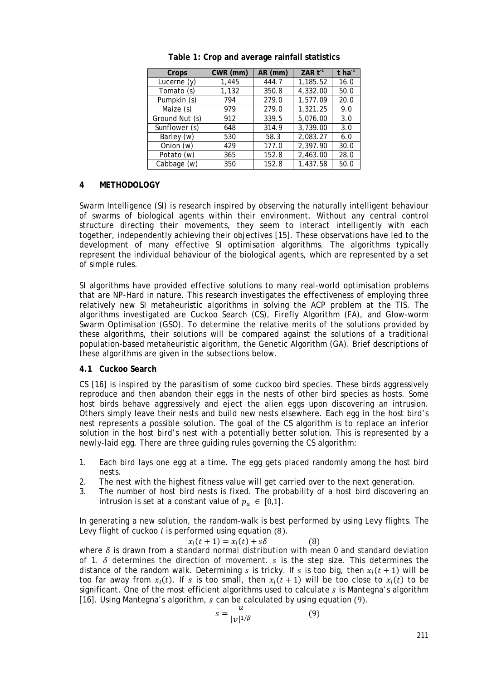| Crops          | CWR (mm) | AR (mm) | ZAR $t-1$ | t ha <sup>-1</sup> |
|----------------|----------|---------|-----------|--------------------|
| Lucerne $(y)$  | 1,445    | 444.7   | 1,185.52  | 16.0               |
| Tomato (s)     | 1,132    | 350.8   | 4,332.00  | 50.0               |
| Pumpkin (s)    | 794      | 279.0   | 1,577.09  | 20.0               |
| Maize (s)      | 979      | 279.0   | 1,321.25  | 9.0                |
| Ground Nut (s) | 912      | 339.5   | 5,076.00  | 3.0                |
| Sunflower (s)  | 648      | 314.9   | 3,739.00  | 3.0                |
| Barley (w)     | 530      | 58.3    | 2,083.27  | 6.0                |
| Onion (w)      | 429      | 177.0   | 2,397.90  | 30.0               |
| Potato (w)     | 365      | 152.8   | 2,463.00  | 28.0               |
| Cabbage (w)    | 350      | 152.8   | 1.437.58  | 50.0               |

**Table 1: Crop and average rainfall statistics**

# **4 METHODOLOGY**

Swarm Intelligence (SI) is research inspired by observing the naturally intelligent behaviour of swarms of biological agents within their environment. Without any central control structure directing their movements, they seem to interact intelligently with each together, independently achieving their objectives [15]. These observations have led to the development of many effective SI optimisation algorithms. The algorithms typically represent the individual behaviour of the biological agents, which are represented by a set of simple rules.

SI algorithms have provided effective solutions to many real-world optimisation problems that are NP-Hard in nature. This research investigates the effectiveness of employing three relatively new SI metaheuristic algorithms in solving the ACP problem at the TIS. The algorithms investigated are Cuckoo Search (CS), Firefly Algorithm (FA), and Glow-worm Swarm Optimisation (GSO). To determine the relative merits of the solutions provided by these algorithms, their solutions will be compared against the solutions of a traditional population-based metaheuristic algorithm, the Genetic Algorithm (GA). Brief descriptions of these algorithms are given in the subsections below.

## **4.1 Cuckoo Search**

CS [16] is inspired by the parasitism of some cuckoo bird species. These birds aggressively reproduce and then abandon their eggs in the nests of other bird species as hosts. Some host birds behave aggressively and eject the alien eggs upon discovering an intrusion. Others simply leave their nests and build new nests elsewhere. Each egg in the host bird's nest represents a possible solution. The goal of the CS algorithm is to replace an inferior solution in the host bird's nest with a potentially better solution. This is represented by a newly-laid egg. There are three guiding rules governing the CS algorithm:

- 1. Each bird lays one egg at a time. The egg gets placed randomly among the host bird nests.
- 2. The nest with the highest fitness value will get carried over to the next generation.
- 3. The number of host bird nests is fixed. The probability of a host bird discovering an intrusion is set at a constant value of  $p_a \in [0,1]$ .

In generating a new solution, the random-walk is best performed by using Levy flights. The Levy flight of cuckoo  $i$  is performed using equation  $(8)$ .

$$
x_i(t+1) = x_i(t) + s\delta \tag{8}
$$

where  $\delta$  is drawn from a *standard normal distribution* with mean 0 and standard deviation of 1.  $\delta$  determines the direction of movement.  $s$  is the step size. This determines the distance of the random walk. Determining s is tricky. If s is too big, then  $x_i(t + 1)$  will be too far away from  $x_i(t)$ . If s is too small, then  $x_i(t + 1)$  will be too close to  $x_i(t)$  to be significant. One of the most efficient algorithms used to calculate  $s$  is Mantegna's algorithm [16]. Using Mantegna's algorithm,  $s$  can be calculated by using equation (9).

$$
s = \frac{u}{|v|^{1/\beta}}\tag{9}
$$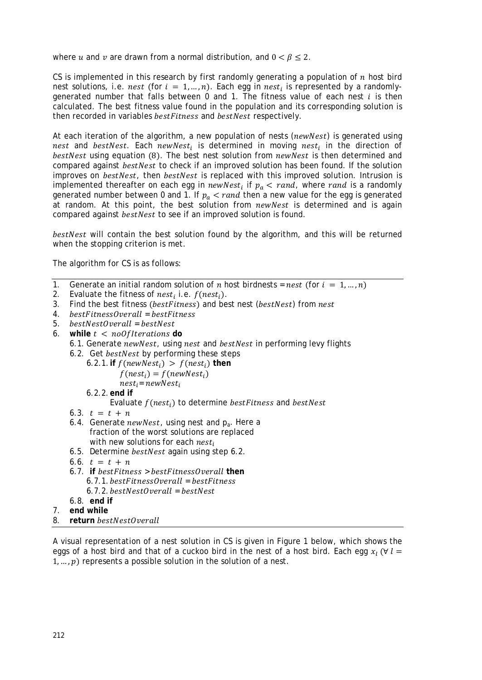where u and v are drawn from a normal distribution, and  $0 < \beta \le 2$ .

CS is implemented in this research by first randomly generating a population of  $n$  host bird nest solutions, i.e. nest (for  $i = 1, ..., n$ ). Each egg in nest<sub>i</sub> is represented by a randomlygenerated number that falls between 0 and 1. The fitness value of each nest  $i$  is then calculated. The best fitness value found in the population and its corresponding solution is then recorded in variables *bestFitness* and *bestNest* respectively.

At each iteration of the algorithm, a new population of nests ( $newWest$ ) is generated using nest and bestNest. Each newNest, is determined in moving nest, in the direction of bestNest using equation (8). The best nest solution from *newNest* is then determined and compared against *bestNest* to check if an improved solution has been found. If the solution improves on *bestNest*, then *bestNest* is replaced with this improved solution. Intrusion is implemented thereafter on each egg in  $newNest_i$  if  $p_a < rand$ , where rand is a randomly generated number between 0 and 1. If  $p_a <$  rand then a new value for the egg is generated at random. At this point, the best solution from newNest is determined and is again compared against *bestNest* to see if an improved solution is found.

bestNest will contain the best solution found by the algorithm, and this will be returned when the stopping criterion is met.

The algorithm for CS is as follows:

- 1. Generate an initial random solution of *n* host birdnests = *nest* (for  $i = 1, ..., n$ )
- 2. Evaluate the fitness of  $nest_i$  i.e.  $f(nest_i)$ .
- 3. Find the best fitness (bestFitness) and best nest (bestNest) from nest
- 4. *bestFitnessOverall* = bestFitness
- 5. *bestNestOverall* = bestNest
- 6. while  $t < no$  of Iterations do
	- 6.1. Generate new Nest, using nest and best Nest in performing levy flights

6.2. Get *bestNest* by performing these steps

6.2.1. **if**  $f(newNest_i) > f(nest_i)$  then

 $f(nest<sub>i</sub>) = f(newNest<sub>i</sub>)$ 

 $nest_i = newNest_i$ 

6.2.2.**end if**

Evaluate  $f(nest<sub>i</sub>)$  to determine *bestFitness* and *bestNest* 

- 6.3.  $t = t + n$
- 6.4. Generate *newNest*, using *nest* and  $p_a$ . Here a fraction of the worst solutions are replaced with new solutions for each  $nest_i$
- 6.5. Determine *bestNest* again using step 6.2.
- 6.6.  $t = t + n$
- $6.7$  **if**  $bestFitness > bestFitnessOverall$  **then** 6.7.1. *bestFitnessOverall* = *bestFitness*  $6.7.2.$ *bestNestOverall* =  $bestNest$ 6.8. **end if**
- 7. **end while**
- 8. **return**

A visual representation of a nest solution in CS is given in Figure 1 below, which shows the eggs of a host bird and that of a cuckoo bird in the nest of a host bird. Each egg  $x_i$  ( $\forall i =$  $1, ..., p$ ) represents a possible solution in the solution of a nest.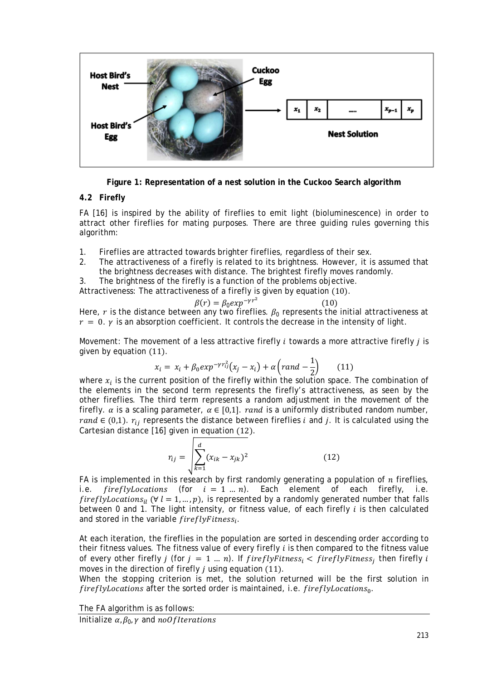

**Figure 1: Representation of a nest solution in the Cuckoo Search algorithm**

# **4.2 Firefly**

FA [16] is inspired by the ability of fireflies to emit light (bioluminescence) in order to attract other fireflies for mating purposes. There are three guiding rules governing this algorithm:

- 1. Fireflies are attracted towards brighter fireflies, regardless of their sex.
- 2. The attractiveness of a firefly is related to its brightness. However, it is assumed that the brightness decreases with distance. The brightest firefly moves randomly.

3. The brightness of the firefly is a function of the problems objective.

Attractiveness: The attractiveness of a firefly is given by equation (10).

$$
\beta(r) = \beta_0 \exp^{-\gamma r^2} \tag{10}
$$

 $\beta(r) = \beta_0 exp^{-\gamma r^2}$  (10)<br>Here, *r* is the distance between any two fireflies.  $\beta_0$  represents the initial attractiveness at  $r = 0$ .  $\gamma$  is an absorption coefficient. It controls the decrease in the intensity of light.

Movement: The movement of a less attractive firefly  $i$  towards a more attractive firefly  $j$  is given by equation (11).

$$
x_i = x_i + \beta_0 exp^{-\gamma r_{ij}^2} (x_j - x_i) + \alpha \left( rand - \frac{1}{2} \right) \qquad (11)
$$

where  $x_i$  is the current position of the firefly within the solution space. The combination of the elements in the second term represents the firefly's attractiveness, as seen by the other fireflies. The third term represents a random adjustment in the movement of the firefly.  $\alpha$  is a scaling parameter,  $\alpha \in [0,1]$ . rand is a uniformly distributed random number, rand  $\in (0,1)$ .  $r_{ij}$  represents the distance between fireflies *i* and *j*. It is calculated using the Cartesian distance [16] given in equation (12).

$$
r_{ij} = \sqrt{\sum_{k=1}^{d} (x_{ik} - x_{jk})^2}
$$
 (12)

FA is implemented in this research by first randomly generating a population of *n* fireflies, i.e. *firefly locations* (for  $i = 1 ... n$ ). Each element of each firefly i.e. fireflyLocations (for  $i = 1 ... n$ ). Each element of each firefly,  $fireflyLocations<sub>il</sub>$  ( $\forall l = 1, ..., p$ ), is represented by a randomly generated number that falls between 0 and 1. The light intensity, or fitness value, of each firefly  $i$  is then calculated and stored in the variable  $fireflyFitness<sub>i</sub>$ .

At each iteration, the fireflies in the population are sorted in descending order according to their fitness values. The fitness value of every firefly  $i$  is then compared to the fitness value of every other firefly *j* (for  $j = 1 ... n$ ). If *fireflyFitness<sub>i</sub>* < *fireflyFitness<sub>i</sub>* then firefly *i* moves in the direction of firefly  $i$  using equation (11).

When the stopping criterion is met, the solution returned will be the first solution in fireflyLocations after the sorted order is maintained, i.e. fireflyLocations $_0$ .

The FA algorithm is as follows:

Initialize  $\alpha$ ,  $\beta_0$ ,  $\gamma$  and noOfIterations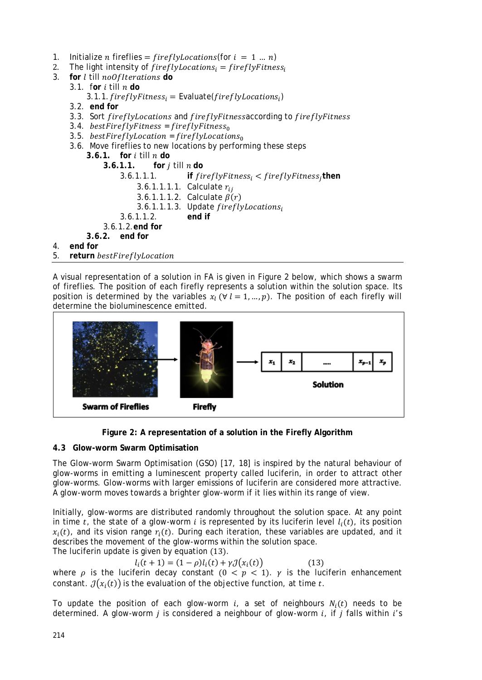- 1. Initialize *n* fireflies =  $fireflyLocations(for i = 1 ... n)$ <br>2. The light intensity of *fireflyLocations*: = *fireflyFitnes*
- 2. The light intensity of  $fireflyLocations_i = fireflyFitness_i$ <br>3. for *l* till no*Of Iterations* do
- for *l* till noOfIterations do
	- 3.1. for  $i$  till  $n$  do
		- 3.1.1.  $fireflyFitness_i = Evaluate(fireflyLocations_i)$
	- 3.2. **end for**
	- 3.3. Sort fireflyLocations and fireflyFitnessaccording to fireflyFitness
	- 3.4. bestFireflyFitness = fireflyFitness<sub>0</sub>
	- 3.5. bestFireflyLocation = fireflyLocations $_0$
	- 3.6. Move fireflies to new locations by performing these steps
		- **3.6.1. for** till **do**
			- **1.1. for** *j* **till** *n* **do**<br>**3.6.1.1.1. if** *fin*

```
\textbf{if} fireflyFitness_i < fireflyFitness_ithen
                3.6.1.1.1.1. Calculate r_{ii}3.6.1.1.1.2. Calculate \beta(r)3.6.1.1.1.3. Update fireflyLocations<sub>i</sub><br>1.1.2. end if
          3.6.1.1.2.3.6.1.2.end for
3.6.2. end for
```
4. **end for**

5. **return**

A visual representation of a solution in FA is given in Figure 2 below, which shows a swarm of fireflies. The position of each firefly represents a solution within the solution space. Its position is determined by the variables  $x_i$  ( $\forall$   $l = 1, ..., p$ ). The position of each firefly will determine the bioluminescence emitted.





# **4.3 Glow-worm Swarm Optimisation**

The Glow-worm Swarm Optimisation (GSO) [17, 18] is inspired by the natural behaviour of glow-worms in emitting a luminescent property called luciferin, in order to attract other glow-worms. Glow-worms with larger emissions of luciferin are considered more attractive. A glow-worm moves towards a brighter glow-worm if it lies within its range of view.

Initially, glow-worms are distributed randomly throughout the solution space. At any point in time t, the state of a glow-worm i is represented by its luciferin level  $l_i(t)$ , its position  $x_i(t)$ , and its vision range  $r_i(t)$ . During each iteration, these variables are updated, and it describes the movement of the glow-worms within the solution space.

The luciferin update is given by equation (13).

 $l_i(t + 1) = (1 - \rho)l_i(t) + \gamma \mathcal{J}(x_i(t))$  (13)

where  $\rho$  is the luciferin decay constant ( $0 < p < 1$ ).  $\gamma$  is the luciferin enhancement constant.  $\mathcal{J}(x_i(t))$  is the evaluation of the objective function, at time t.

To update the position of each glow-worm  $i$ , a set of neighbours  $N_i(t)$  needs to be determined. A glow-worm *i* is considered a neighbour of glow-worm  $i$ , if  $j$  falls within  $i$ 's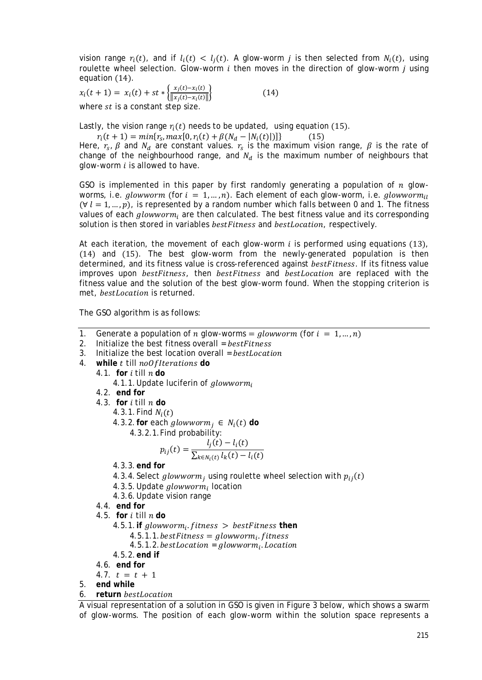vision range  $r_i(t)$ , and if  $l_i(t) < l_i(t)$ . A glow-worm *j* is then selected from  $N_i(t)$ , using roulette wheel selection. Glow-worm  $i$  then moves in the direction of glow-worm  $i$  using equation (14).

 $x_i(t + 1) = x_i(t) + st * \left\{ \frac{x_j(t) - x_i(t)}{\|x_j(t) - x_i(t)\|} \right\}$  $(14)$ where  $st$  is a constant step size.

Lastly, the vision range  $r_i(t)$  needs to be updated, using equation (15).<br>  $r_i(t + 1) = min\{r_s, max[0, r_i(t) + \beta(N_d - |N_i(t)|)]\}$  (15)

 $r_i(t + 1) = min{r_s, max[0, r_i(t) + \beta(N_d - |N_i(t)|)]}$ Here,  $r_s$ ,  $\beta$  and  $N_d$  are constant values.  $r_s$  is the maximum vision range,  $\beta$  is the rate of change of the neighbourhood range, and  $N_d$  is the maximum number of neighbours that glow-worm  $i$  is allowed to have.

GSO is implemented in this paper by first randomly generating a population of  $n$  glowworms, i.e. glowworm (for  $i = 1, ..., n$ ). Each element of each glow-worm, i.e. glowworm<sub>il</sub>  $(\forall l = 1, ..., p)$ , is represented by a random number which falls between 0 and 1. The fitness values of each  $glowworm_i$  are then calculated. The best fitness value and its corresponding solution is then stored in variables bestFitness and bestLocation, respectively.

At each iteration, the movement of each glow-worm  $i$  is performed using equations (13), (14) and (15). The best glow-worm from the newly-generated population is then determined, and its fitness value is cross-referenced against bestFitness. If its fitness value improves upon bestFitness, then bestFitness and bestLocation are replaced with the fitness value and the solution of the best glow-worm found. When the stopping criterion is met, *bestLocation* is returned.

The GSO algorithm is as follows:

- 1. Generate a population of *n* glow-worms = glowworm (for  $i = 1, ..., n$ )
- 2. Initialize the best fitness overall  $= bestFitness$
- 3. Initialize the best location overall = bestLocation
- 4. while t till noOfIterations do
	- 4.1. **for**  $i$  till  $n$  do
		- 4.1.1. Update luciferin of *glowworm*
	- 4.2. **end for**
	- 4.3. **for**  $i$  till  $n$  do

4.3.1. Find  $N_i(t)$ 

- 4.3.2. for each  $glowworm_i \in N_i(t)$  do
	- 4.3.2.1.Find probability:

$$
p_{ij}(t) = \frac{l_j(t) - l_i(t)}{\sum_{k \in N_i(t)} l_k(t) - l_i(t)}
$$

- 4.3.3.**end for**
- 4.3.4. Select glowworm, using roulette wheel selection with  $p_{ii}(t)$
- 4.3.5. Update  $glowworm_i$  location
- 4.3.6.Update vision range
- 4.4. **end for**
- 4.5. **for**  $i$  till  $n$  do
	- 4.5.1. **if**  $glowworm_i$ .  $fitness$  >  $bestFitness$  **then** 
		- $4.5.1.1.$ *bestFitness* =  $glowworm_i. fitness$
		- $4.5.1.2. bestLocation = $alowworm_i.$  *Location*$
	- 4.5.2.**end if**
- *4.6.* **end for**
- *4.7.*  $t = t + 1$
- 5. **end while**
- 6. **return**

A visual representation of a solution in GSO is given in Figure 3 below, which shows a swarm of glow-worms. The position of each glow-worm within the solution space represents a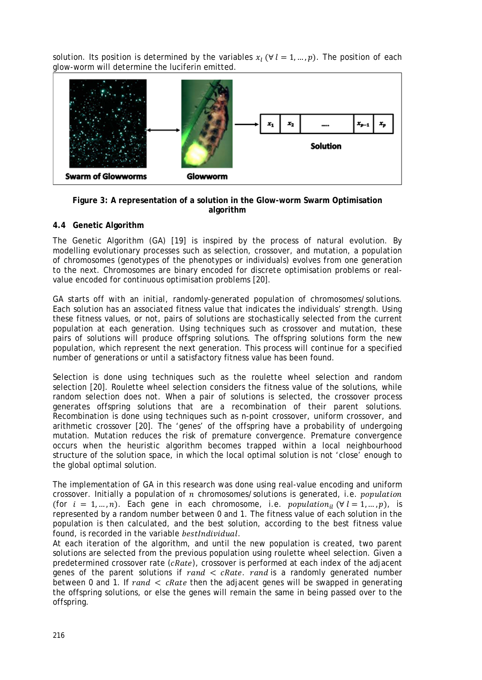solution. Its position is determined by the variables  $x_l$  ( $\forall$   $l = 1, ..., p$ ). The position of each glow-worm will determine the luciferin emitted.



#### **Figure 3: A representation of a solution in the Glow-worm Swarm Optimisation algorithm**

# **4.4 Genetic Algorithm**

The Genetic Algorithm (GA) [19] is inspired by the process of natural evolution. By modelling evolutionary processes such as selection, crossover, and mutation, a population of chromosomes (genotypes of the phenotypes or individuals) evolves from one generation to the next. Chromosomes are binary encoded for discrete optimisation problems or realvalue encoded for continuous optimisation problems [20].

GA starts off with an initial, randomly-generated population of chromosomes/solutions. Each solution has an associated fitness value that indicates the individuals' strength. Using these fitness values, or not, pairs of solutions are stochastically selected from the current population at each generation. Using techniques such as crossover and mutation, these pairs of solutions will produce offspring solutions. The offspring solutions form the new population, which represent the next generation. This process will continue for a specified number of generations or until a satisfactory fitness value has been found.

Selection is done using techniques such as the roulette wheel selection and random selection [20]. Roulette wheel selection considers the fitness value of the solutions, while random selection does not. When a pair of solutions is selected, the crossover process generates offspring solutions that are a recombination of their parent solutions. Recombination is done using techniques such as n-point crossover, uniform crossover, and arithmetic crossover [20]. The 'genes' of the offspring have a probability of undergoing mutation. Mutation reduces the risk of premature convergence. Premature convergence occurs when the heuristic algorithm becomes trapped within a local neighbourhood structure of the solution space, in which the local optimal solution is not 'close' enough to the global optimal solution.

The implementation of GA in this research was done using real-value encoding and uniform crossover. Initially a population of  $n$  chromosomes/solutions is generated, i.e. *population* (for  $i = 1, ..., n$ ). Each gene in each chromosome, i.e. *population*<sub>il</sub> ( $\forall$   $l = 1, ..., p$ ), is represented by a random number between 0 and 1. The fitness value of each solution in the population is then calculated, and the best solution, according to the best fitness value found, is recorded in the variable bestIndividual.

At each iteration of the algorithm, and until the new population is created, two parent solutions are selected from the previous population using roulette wheel selection. Given a predetermined crossover rate  $(cRate)$ , crossover is performed at each index of the adjacent genes of the parent solutions if  $rand < cRate$ . rand is a randomly generated number between 0 and 1. If  $rand <$  cRate then the adjacent genes will be swapped in generating the offspring solutions, or else the genes will remain the same in being passed over to the offspring.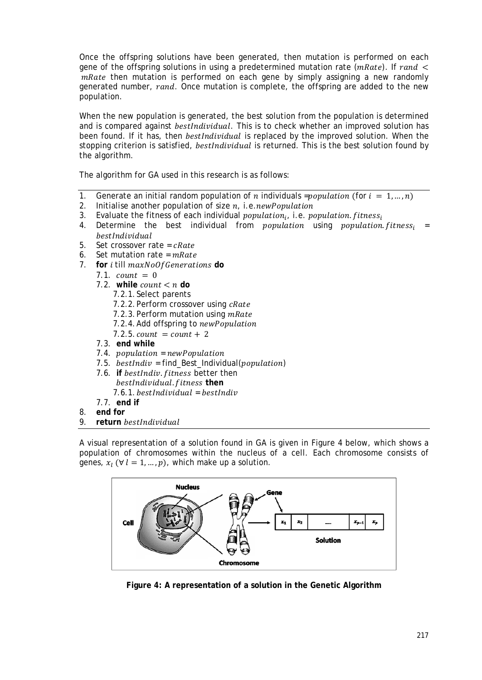Once the offspring solutions have been generated, then mutation is performed on each gene of the offspring solutions in using a predetermined mutation rate ( $mRate$ ). If  $rand <$  $mRate$  then mutation is performed on each gene by simply assigning a new randomly generated number, rand. Once mutation is complete, the offspring are added to the new population.

When the new population is generated, the best solution from the population is determined and is compared against *bestIndividual*. This is to check whether an improved solution has been found. If it has, then *bestIndividual* is replaced by the improved solution. When the stopping criterion is satisfied, *bestindividual* is returned. This is the best solution found by the algorithm.

The algorithm for GA used in this research is as follows:

- 1. Generate an initial random population of *n* individuals = population (for  $i = 1, ..., n$ )<br>2. Initialise another population of size *n*, i.e. *new Population*
- 2. Initialise another population of size  $n_i$ , i.e. *new Population* 3. Evaluate the fitness of each individual *nonulation*, i.e. *no*
- Evaluate the fitness of each individual *population<sub>i</sub>*, i.e. *population. fitness<sub>i</sub>*
- 4. Determine the best individual from *population* using *population fitness*; = bestIndividual
- 5. Set crossover rate =  $cRate$
- 6. Set mutation rate =  $mRate$
- 7. **for** *i* till maxNoOf Generations do
	- $7.1$  count = 0
	- 7.2. while  $count < n$  do
		- 7.2.1. Select parents
		- 7.2.2. Perform crossover using cRate
		- 7.2.3. Perform mutation using mRate
		- 7.2.4. Add offspring to newPopulation
		- $7.2.5$ .  $count = count + 2$
	- 7.3. **end while**
	- $7.4.$  population = newPopulation
	- 7.5.  $bestIndiv = find\_Best\_Individual(population)$
	- 7.6. **if** bestIndiv. fitness better then  $bestIndividual.fitness$  then  $7.6.1. best Indivial = bestIndiv$
	- 7.7. **end if**
- 8. **end for**
- 9. **return**

A visual representation of a solution found in GA is given in Figure 4 below, which shows a population of chromosomes within the nucleus of a cell. Each chromosome consists of genes,  $x_i$  ( $\forall$   $l = 1, ..., p$ ), which make up a solution.



**Figure 4: A representation of a solution in the Genetic Algorithm**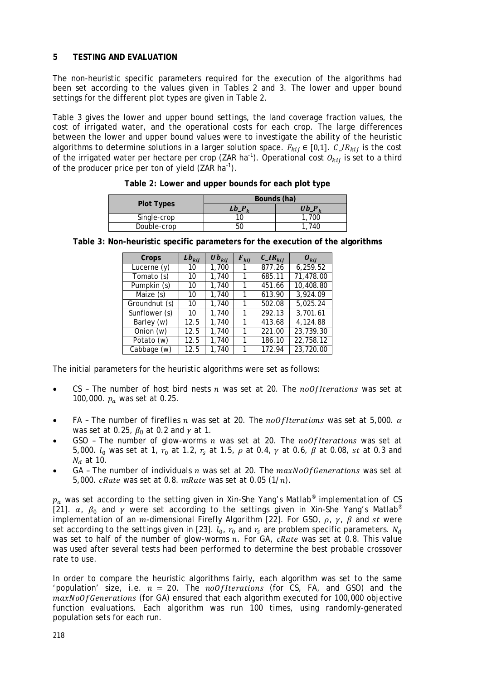# **5 TESTING AND EVALUATION**

The non-heuristic specific parameters required for the execution of the algorithms had been set according to the values given in Tables 2 and 3. The lower and upper bound settings for the different plot types are given in Table 2.

Table 3 gives the lower and upper bound settings, the land coverage fraction values, the cost of irrigated water, and the operational costs for each crop. The large differences between the lower and upper bound values were to investigate the ability of the heuristic algorithms to determine solutions in a larger solution space.  $F_{kij} \in [0,1]$ .  $C\_IR_{kij}$  is the cost of the irrigated water per hectare per crop (ZAR ha<sup>-1</sup>). Operational cost  $O_{kij}$  is set to a third of the producer price per ton of yield (ZAR ha $^{-1}$ ).

|                   | Bounds (ha) |          |  |
|-------------------|-------------|----------|--|
| <b>Plot Types</b> | Lb <i>I</i> | Ub $P_i$ |  |
| Single-crop       |             | 1,700    |  |
| Double-crop       | 50          | 740      |  |

**Table 2: Lower and upper bounds for each plot type**

| Crops         | $Lb_{kij}$ | $\boldsymbol{U}\boldsymbol{b}_{kij}$ | $F_{kij}$ | $C_{\perp}$ $IR_{kij}$ | $\bm{o}_{kii}$ |
|---------------|------------|--------------------------------------|-----------|------------------------|----------------|
| Lucerne $(y)$ | 10         | 1,700                                |           | 877.26                 | 6,259.52       |
| Tomato (s)    | 10         | 1,740                                |           | 685.11                 | 71,478.00      |
| Pumpkin (s)   | 10         | 1,740                                |           | 451.66                 | 10,408.80      |
| Maize (s)     | 10         | 1,740                                |           | 613.90                 | 3.924.09       |
| Groundnut (s) | 10         | 1,740                                |           | 502.08                 | 5.025.24       |
| Sunflower (s) | 10         | 1,740                                |           | 292.13                 | 3.701.61       |
| Barley (w)    | 12.5       | 1,740                                |           | 413.68                 | 4,124.88       |
| Onion (w)     | 12.5       | 1,740                                |           | 221.00                 | 23,739.30      |
| Potato (w)    | 12.5       | 1,740                                |           | 186.10                 | 22,758.12      |
| Cabbage (w)   | 12.5       | 1.740                                |           | 172.94                 | 23,720.00      |

**Table 3: Non-heuristic specific parameters for the execution of the algorithms**

The initial parameters for the heuristic algorithms were set as follows:

- CS The number of host bird nests  $n$  was set at 20. The  $noOf iterations$  was set at 100,000.  $p_a$  was set at 0.25.
- FA The number of fireflies *n* was set at 20. The *noOfIterations* was set at 5,000.  $\alpha$ was set at 0.25,  $\beta_0$  at 0.2 and  $\gamma$  at 1.
- GSO The number of glow-worms  $n$  was set at 20. The  $noOf Iterations$  was set at 5,000.  $l_0$  was set at 1,  $r_0$  at 1.2,  $r_s$  at 1.5,  $\rho$  at 0.4,  $\gamma$  at 0.6,  $\beta$  at 0.08, st at 0.3 and  $N_d$  at 10.
- GA The number of individuals  $n$  was set at 20. The  $maxNoOfGenerations$  was set at 5,000.  $cRate$  was set at 0.8.  $mRate$  was set at 0.05  $(1/n)$ .

 $p_a$  was set according to the setting given in [Xin-She Yang'](http://www.mathworks.com/matlabcentral/fileexchange/authors/119376)s Matlab® implementation of CS [21].  $\alpha$ ,  $\beta_0$  and  $\gamma$  were set according to the settings given in [Xin-She Yang'](http://www.mathworks.com/matlabcentral/fileexchange/authors/119376)s Matlab® implementation of an m-dimensional Firefly Algorithm [22]. For GSO,  $\rho$ ,  $\gamma$ ,  $\beta$  and st were set according to the settings given in [23].  $l_0$ ,  $r_0$  and  $r_s$  are problem specific parameters.  $N_d$ was set to half of the number of glow-worms  $n$ . For GA,  $cRate$  was set at 0.8. This value was used after several tests had been performed to determine the best probable crossover rate to use.

In order to compare the heuristic algorithms fairly, each algorithm was set to the same 'population' size, i.e.  $n = 20$ . The noOfIterations (for CS, FA, and GSO) and the  $maxNoOfGenerations$  (for GA) ensured that each algorithm executed for 100,000 objective function evaluations. Each algorithm was run 100 times, using randomly-generated population sets for each run.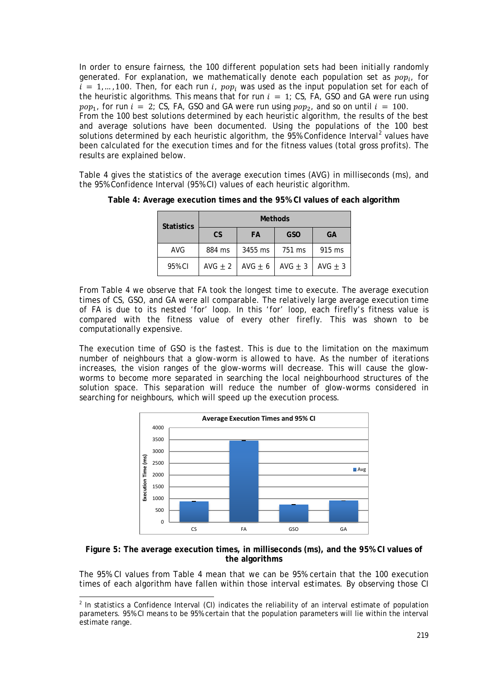In order to ensure fairness, the 100 different population sets had been initially randomly generated. For explanation, we mathematically denote each population set as  $pop_i$ , for  $\tilde{i} = 1, ..., 100$ . Then, for each run i,  $pop_i$  was used as the input population set for each of the heuristic algorithms. This means that for run  $i = 1$ ; CS, FA, GSO and GA were run using  $pop_1$ , for run  $i = 2$ ; CS, FA, GSO and GA were run using  $pop_2$ , and so on until  $i = 100$ . From the 100 best solutions determined by each heuristic algorithm, the results of the best and average solutions have been documented. Using the populations of the 100 best solutions determined by each heuristic algorithm, the  $95%$  Confidence Interval<sup>[2](#page-14-0)</sup> values have been calculated for the execution times and for the fitness values (total gross profits). The results are explained below.

Table 4 gives the statistics of the average execution times (AVG) in milliseconds (ms), and the 95% Confidence Interval (95% CI) values of each heuristic algorithm.

| <b>Statistics</b> | <b>Methods</b> |             |             |           |
|-------------------|----------------|-------------|-------------|-----------|
|                   | <b>CS</b>      | FA          | <b>GSO</b>  | GA        |
| <b>AVG</b>        | 884 ms         | 3455 ms     | 751 ms      | 915 ms    |
| 95% CI            | AVG $\pm$ 2    | AVG $\pm$ 6 | AVG $\pm$ 3 | $AVG + 3$ |

**Table 4: Average execution times and the 95% CI values of each algorithm**

From Table 4 we observe that FA took the longest time to execute. The average execution times of CS, GSO, and GA were all comparable. The relatively large average execution time of FA is due to its nested 'for' loop. In this 'for' loop, each firefly's fitness value is compared with the fitness value of every other firefly. This was shown to be computationally expensive.

The execution time of GSO is the fastest. This is due to the limitation on the maximum number of neighbours that a glow-worm is allowed to have. As the number of iterations increases, the vision ranges of the glow-worms will decrease. This will cause the glowworms to become more separated in searching the local neighbourhood structures of the solution space. This separation will reduce the number of glow-worms considered in searching for neighbours, which will speed up the execution process.



## **Figure 5: The average execution times, in milliseconds (ms), and the 95% CI values of the algorithms**

The 95% CI values from Table 4 mean that we can be 95% certain that the 100 execution times of each algorithm have fallen within those interval estimates. By observing those CI

-

<span id="page-14-0"></span> $<sup>2</sup>$  In statistics a Confidence Interval (CI) indicates the reliability of an interval estimate of population</sup> parameters. 95% CI means to be 95% certain that the population parameters will lie within the interval estimate range.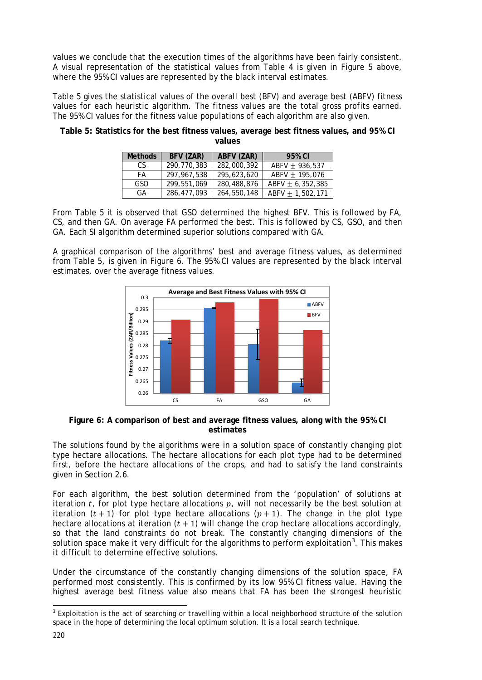values we conclude that the execution times of the algorithms have been fairly consistent. A visual representation of the statistical values from Table 4 is given in Figure 5 above, where the 95% CI values are represented by the black interval estimates.

Table 5 gives the statistical values of the overall best (BFV) and average best (ABFV) fitness values for each heuristic algorithm. The fitness values are the total gross profits earned. The 95% CI values for the fitness value populations of each algorithm are also given.

| <b>Methods</b> | BFV (ZAR)   | ABFV (ZAR)  | 95% CI               |
|----------------|-------------|-------------|----------------------|
| CS.            | 290.770.383 | 282,000,392 | $ABFV + 936.537$     |
| FA             | 297.967.538 | 295,623,620 | $ABFV + 195.076$     |
| GSO            | 299.551.069 | 280,488,876 | $ABFV + 6.352.385$   |
| GА             | 286.477.093 | 264,550,148 | ABFV $\pm$ 1,502,171 |

**Table 5: Statistics for the best fitness values, average best fitness values, and 95% CI values**

From Table 5 it is observed that GSO determined the highest BFV. This is followed by FA, CS, and then GA. On average FA performed the best. This is followed by CS, GSO, and then GA. Each SI algorithm determined superior solutions compared with GA.

A graphical comparison of the algorithms' best and average fitness values, as determined from Table 5, is given in Figure 6. The 95% CI values are represented by the black interval estimates, over the average fitness values.



## **Figure 6: A comparison of best and average fitness values, along with the 95% CI estimates**

The solutions found by the algorithms were in a solution space of constantly changing plot type hectare allocations. The hectare allocations for each plot type had to be determined first, before the hectare allocations of the crops, and had to satisfy the land constraints given in Section 2.6.

For each algorithm, the best solution determined from the 'population' of solutions at iteration  $t$ , for plot type hectare allocations  $p$ , will not necessarily be the best solution at iteration  $(t + 1)$  for plot type hectare allocations  $(p + 1)$ . The change in the plot type hectare allocations at iteration  $(t + 1)$  will change the crop hectare allocations accordingly, so that the land constraints do not break. The constantly changing dimensions of the solution space make it very difficult for the algorithms to perform exploitation<sup>[3](#page-15-0)</sup>. This makes it difficult to determine effective solutions.

Under the circumstance of the constantly changing dimensions of the solution space, FA performed most consistently. This is confirmed by its low 95% CI fitness value. Having the highest average best fitness value also means that FA has been the strongest heuristic

<span id="page-15-0"></span> $3$  Exploitation is the act of searching or travelling within a local neighborhood structure of the solution space in the hope of determining the local optimum solution. It is a local search technique. l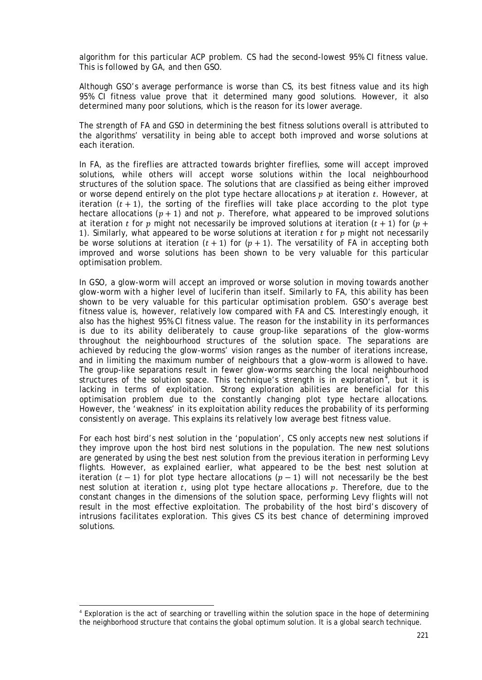algorithm for this particular ACP problem. CS had the second-lowest 95% CI fitness value. This is followed by GA, and then GSO.

Although GSO's average performance is worse than CS, its best fitness value and its high 95% CI fitness value prove that it determined many good solutions. However, it also determined many poor solutions, which is the reason for its lower average.

The strength of FA and GSO in determining the best fitness solutions overall is attributed to the algorithms' versatility in being able to accept both *improved* and *worse* solutions at each iteration.

In FA, as the fireflies are attracted towards brighter fireflies, some will accept improved solutions, while others will accept worse solutions within the local neighbourhood structures of the solution space. The solutions that are classified as being either improved or worse depend entirely on the plot type hectare allocations  $p$  at iteration  $t$ . However, at iteration  $(t + 1)$ , the sorting of the fireflies will take place according to the plot type hectare allocations  $(p + 1)$  and *not* p. Therefore, what appeared to be improved solutions at iteration *t* for *p* might not necessarily be improved solutions at iteration  $(t + 1)$  for  $(p +$ 1). Similarly, what appeared to be worse solutions at iteration  $t$  for  $p$  might not necessarily be worse solutions at iteration  $(t + 1)$  for  $(p + 1)$ . The versatility of FA in accepting both improved and worse solutions has been shown to be very valuable for this particular optimisation problem.

In GSO, a glow-worm will accept an improved or worse solution in moving towards another glow-worm with a higher level of luciferin than itself. Similarly to FA, this ability has been shown to be very valuable for this particular optimisation problem. GSO's average best fitness value is, however, relatively low compared with FA and CS. Interestingly enough, it also has the highest 95% CI fitness value. The reason for the instability in its performances is due to its ability deliberately to cause group-like separations of the glow-worms throughout the neighbourhood structures of the solution space. The separations are achieved by reducing the glow-worms' vision ranges as the number of iterations increase, and in limiting the maximum number of neighbours that a glow-worm is allowed to have. The group-like separations result in fewer glow-worms searching the local neighbourhood structures of the solution space. This technique's strength is in exploration<sup>[4](#page-16-0)</sup>, but it is lacking in terms of exploitation. Strong exploration abilities are beneficial for this optimisation problem due to the constantly changing plot type hectare allocations. However, the 'weakness' in its exploitation ability reduces the probability of its performing consistently on average. This explains its relatively low average best fitness value.

For each host bird's nest solution in the 'population', CS only accepts new nest solutions if they improve upon the host bird nest solutions in the population. The new nest solutions are generated by using the best nest solution from the previous iteration in performing Levy flights. However, as explained earlier, what appeared to be the best nest solution at iteration  $(t-1)$  for plot type hectare allocations  $(p-1)$  will not necessarily be the best nest solution at iteration  $t$ , using plot type hectare allocations  $p$ . Therefore, due to the constant changes in the dimensions of the solution space, performing Levy flights will not result in the most effective exploitation. The probability of the host bird's discovery of intrusions facilitates exploration. This gives CS its best chance of determining improved solutions.

-

<span id="page-16-0"></span><sup>4</sup> Exploration is the act of searching or travelling within the solution space in the hope of determining the neighborhood structure that contains the global optimum solution. It is a global search technique.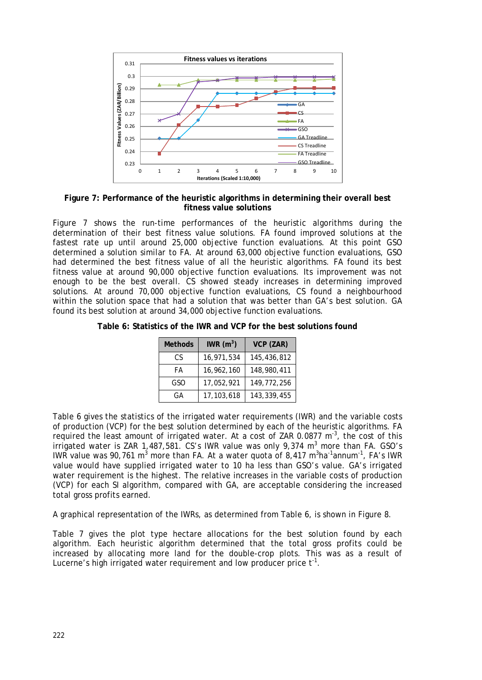

**Figure 7: Performance of the heuristic algorithms in determining their overall best fitness value solutions**

Figure 7 shows the run-time performances of the heuristic algorithms during the determination of their best fitness value solutions. FA found improved solutions at the fastest rate up until around 25,000 objective function evaluations. At this point GSO determined a solution similar to FA. At around 63,000 objective function evaluations, GSO had determined the best fitness value of all the heuristic algorithms. FA found its best fitness value at around 90,000 objective function evaluations. Its improvement was not enough to be the best overall. CS showed steady increases in determining improved solutions. At around 70,000 objective function evaluations, CS found a neighbourhood within the solution space that had a solution that was better than GA's best solution. GA found its best solution at around 34,000 objective function evaluations.

**Table 6: Statistics of the IWR and VCP for the best solutions found**

| <b>Methods</b> | IWR $(m^3)$ | VCP (ZAR)   |
|----------------|-------------|-------------|
| CS             | 16,971,534  | 145,436,812 |
| FA             | 16,962,160  | 148,980,411 |
| GSO            | 17,052,921  | 149,772,256 |
| GA             | 17,103,618  | 143,339,455 |

Table 6 gives the statistics of the irrigated water requirements (IWR) and the variable costs of production (VCP) for the best solution determined by each of the heuristic algorithms. FA required the least amount of irrigated water. At a cost of ZAR 0.0877  $m^3$ , the cost of this irrigated water is ZAR 1,487,581. CS's IWR value was only 9,374  $m^3$  more than FA. GSO's IWR value was 90,761 m<sup>3</sup> more than FA. At a water quota of 8,417 m<sup>3</sup>ha<sup>-1</sup>annum<sup>-1</sup>, FA's IWR value would have supplied irrigated water to 10 ha less than GSO's value. GA's irrigated water requirement is the highest. The relative increases in the variable costs of production (VCP) for each SI algorithm, compared with GA, are acceptable considering the increased total gross profits earned.

A graphical representation of the IWRs, as determined from Table 6, is shown in Figure 8.

Table 7 gives the plot type hectare allocations for the best solution found by each algorithm. Each heuristic algorithm determined that the total gross profits could be increased by allocating more land for the double-crop plots. This was as a result of Lucerne's high irrigated water requirement and low producer price  $t^{-1}$ .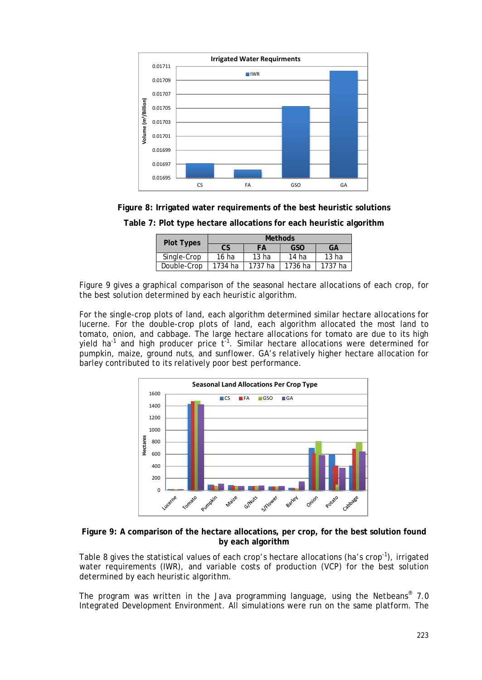

**Figure 8: Irrigated water requirements of the best heuristic solutions**

| <b>Plot Types</b> | <b>Methods</b> |                  |                  |                  |
|-------------------|----------------|------------------|------------------|------------------|
|                   | CS             | FА               | <b>GSO</b>       | GA               |
| Single-Crop       | $16$ ha        | 13 <sub>ha</sub> | 14 <sub>ha</sub> | 13 <sub>ha</sub> |
| Double-Crop       | 1734 ha        | 1737 ha          | 1736 ha          | 1737 ha          |

**Table 7: Plot type hectare allocations for each heuristic algorithm**

Figure 9 gives a graphical comparison of the seasonal hectare allocations of each crop, for the best solution determined by each heuristic algorithm.

For the single-crop plots of land, each algorithm determined similar hectare allocations for lucerne. For the double-crop plots of land, each algorithm allocated the most land to tomato, onion, and cabbage. The large hectare allocations for tomato are due to its high yield ha<sup>-1</sup> and high producer price  $t^{-1}$ . Similar hectare allocations were determined for pumpkin, maize, ground nuts, and sunflower. GA's relatively higher hectare allocation for barley contributed to its relatively poor best performance.



**Figure 9: A comparison of the hectare allocations, per crop, for the best solution found by each algorithm**

Table 8 gives the statistical values of each crop's hectare allocations (ha's crop<sup>-1</sup>), irrigated water requirements (IWR), and variable costs of production (VCP) for the best solution determined by each heuristic algorithm.

The program was written in the Java programming language, using the Netbeans® 7.0 Integrated Development Environment. All simulations were run on the same platform. The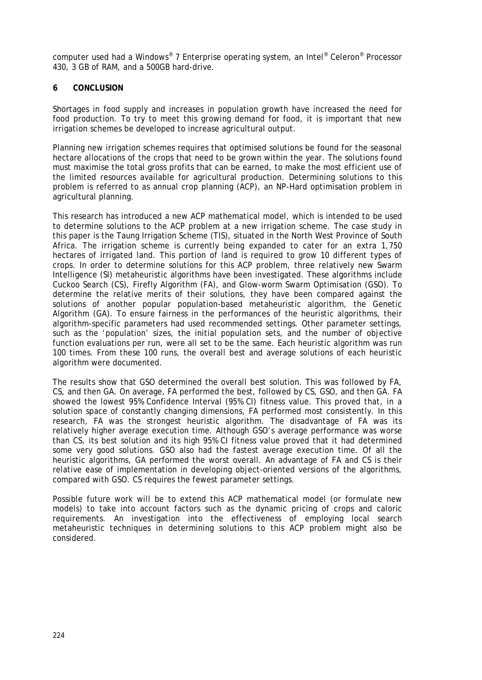computer used had a Windows® 7 Enterprise operating system, an Intel® Celeron® Processor 430, 3 GB of RAM, and a 500GB hard-drive.

## **6 CONCLUSION**

Shortages in food supply and increases in population growth have increased the need for food production. To try to meet this *growing* demand for food, it is important that new irrigation schemes be developed to increase agricultural output.

Planning new irrigation schemes requires that optimised solutions be found for the seasonal hectare allocations of the crops that need to be grown within the year. The solutions found must maximise the total gross profits that can be earned, to make the most efficient use of the limited resources available for agricultural production. Determining solutions to this problem is referred to as annual crop planning (ACP), an NP-Hard optimisation problem in agricultural planning.

This research has introduced a new ACP mathematical model, which is intended to be used to determine solutions to the ACP problem at a new irrigation scheme. The case study in this paper is the Taung Irrigation Scheme (TIS), situated in the North West Province of South Africa. The irrigation scheme is currently being expanded to cater for an extra 1,750 hectares of irrigated land. This portion of land is required to grow 10 different types of crops. In order to determine solutions for this ACP problem, three relatively new Swarm Intelligence (SI) metaheuristic algorithms have been investigated. These algorithms include Cuckoo Search (CS), Firefly Algorithm (FA), and Glow-worm Swarm Optimisation (GSO). To determine the relative merits of their solutions, they have been compared against the solutions of another popular population-based metaheuristic algorithm, the Genetic Algorithm (GA). To ensure fairness in the performances of the heuristic algorithms, their algorithm-specific parameters had used recommended settings. Other parameter settings, such as the 'population' sizes, the initial population sets, and the number of objective function evaluations per run, were all set to be the same. Each heuristic algorithm was run 100 times. From these 100 runs, the overall best and average solutions of each heuristic algorithm were documented.

The results show that GSO determined the overall best solution. This was followed by FA, CS, and then GA. On average, FA performed the best, followed by CS, GSO, and then GA. FA showed the lowest 95% Confidence Interval (95% CI) fitness value. This proved that, in a solution space of constantly changing dimensions, FA performed most consistently. In this research, FA was the strongest heuristic algorithm. The disadvantage of FA was its relatively higher average execution time. Although GSO's average performance was worse than CS, its best solution and its high 95% CI fitness value proved that it had determined some very good solutions. GSO also had the fastest average execution time. Of all the heuristic algorithms, GA performed the worst overall. An advantage of FA and CS is their relative ease of implementation in developing object-oriented versions of the algorithms, compared with GSO. CS requires the fewest parameter settings.

Possible future work will be to extend this ACP mathematical model (or formulate new models) to take into account factors such as the dynamic pricing of crops and caloric requirements. An investigation into the effectiveness of employing local search metaheuristic techniques in determining solutions to this ACP problem might also be considered.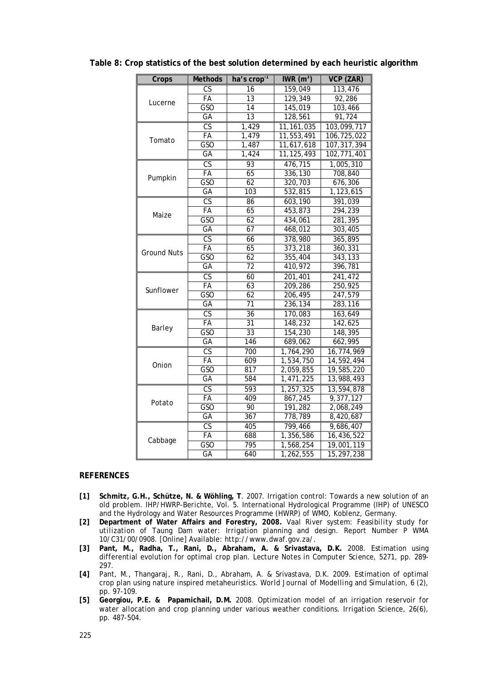| Crops              | <b>Methods</b>         | ha's crop <sup>-1</sup> | IWR $(m^3)$  | VCP (ZAR)     |
|--------------------|------------------------|-------------------------|--------------|---------------|
| Lucerne            | CS                     | 16                      | 159,049      | 113,476       |
|                    | FA                     | 13                      | 129,349      | 92,286        |
|                    | GSO                    | $\overline{14}$         | 145,019      | 103,466       |
|                    | $G$ A                  | $\overline{13}$         | 128,561      | 91,724        |
|                    | $\overline{\text{CS}}$ | 1,429                   | 11, 161, 035 | 103,099,717   |
| Tomato             | FA                     | 1,479                   | 11,553,491   | 106,725,022   |
|                    | GSO                    | 1,487                   | 11,617,618   | 107, 317, 394 |
|                    | $G$ A                  | 1,424                   | 11, 125, 493 | 102,771,401   |
|                    | $\overline{\text{CS}}$ | 93                      | 476,715      | 1,005,310     |
|                    | <b>FA</b>              | 65                      | 336,130      | 708,840       |
| Pumpkin            | GSO                    | 62                      | 320,703      | 676,306       |
|                    | $G$ A                  | 103                     | 532,815      | 1,123,615     |
|                    | $\overline{\text{CS}}$ | 86                      | 603,190      | 391.039       |
| Maize              | FA                     | 65                      | 453,873      | 294,239       |
|                    | GSO                    | 62                      | 434,061      | 281,395       |
|                    | GA                     | 67                      | 468,012      | 303,405       |
|                    | CS                     | 66                      | 378,980      | 365,895       |
| <b>Ground Nuts</b> | FA                     | 65                      | 373,218      | 360,331       |
|                    | <b>GSO</b>             | 62                      | 355,404      | 343,133       |
|                    | GA                     | 72                      | 410,972      | 396,781       |
|                    | $\overline{\text{CS}}$ | 60                      | 201,401      | 241,472       |
| Sunflower          | FA                     | 63                      | 209,286      | 250,925       |
|                    | <b>GSO</b>             | 62                      | 206,495      | 247,579       |
|                    | GA                     | 71                      | 236,134      | 283,116       |
|                    | CS                     | 36                      | 170,083      | 163,649       |
|                    | FA                     | $\overline{31}$         | 148,232      | 142,625       |
| Barley             | <b>GSO</b>             | 33                      | 154,230      | 148,395       |
|                    | GA                     | 146                     | 689,062      | 662,995       |
|                    | <b>CS</b>              | 700                     | 1,764,290    | 16,774,969    |
| Onion              | FA                     | 609                     | 1,534,750    | 14,592,494    |
|                    | $\overline{GSO}$       | 817                     | 2,059,855    | 19,585,220    |
|                    | GА                     | 584                     | 1,471,225    | 13,988,493    |
|                    | $\overline{\text{CS}}$ | 593                     | 1,257,325    | 13,594,878    |
| Potato             | FA                     | 409                     | 867,245      | 9,377,127     |
|                    | GSO                    | 90                      | 191,282      | 2,068,249     |
|                    | $G$ A                  | 367                     | 778,789      | 8,420,687     |
|                    | $\overline{\text{CS}}$ | 405                     | 799,466      | 9,686,407     |
| Cabbage            | <b>FA</b>              | 688                     | 1,356,586    | 16,436,522    |
|                    | GSO                    | 795                     | 1,568,254    | 19,001,119    |
|                    | GA                     | 640                     | 1,262,555    | 15,297,238    |

**Table 8: Crop statistics of the best solution determined by each heuristic algorithm**

## **REFERENCES**

- **[1] Schmitz, G.H., Schütze, N. & Wöhling, T**. 2007. Irrigation control: Towards a new solution of an old problem. *IHP/HWRP-Berichte*, Vol. 5. International Hydrological Programme (IHP) of UNESCO and the Hydrology and Water Resources Programme (HWRP) of WMO, Koblenz, Germany.
- **[2] Department of Water Affairs and Forestry, 2008.** *Vaal River system: Feasibility study for utilization of Taung Dam water: Irrigation planning and design*. Report Number P WMA 10/C31/00/0908. [Online] Available: http://www.dwaf.gov.za/.
- **[3] Pant, M., Radha, T., Rani, D., Abraham, A. & Srivastava, D.K.** 2008. Estimation using differential evolution for optimal crop plan. *Lecture Notes in Computer Science*, 5271, pp. 289- 297.
- **[4]** Pant, M., Thangaraj, R., Rani, D., Abraham, A. & Srivastava, D.K. 2009. Estimation of optimal crop plan using nature inspired metaheuristics. *World Journal of Modelling and Simulation*, 6 (2), pp. 97-109.
- **[5] [Georgiou,](http://www.springerlink.com/content/?Author=P.+E.+Georgiou) P.E. & [Papamichail,](http://www.springerlink.com/content/?Author=D.+M.+Papamichail) D.M.** 2008. Optimization [model of an irrigation reservoir for](http://www.springerlink.com/content/e1m7098822368j61/)  [water allocation and crop planning under various weather conditions.](http://www.springerlink.com/content/e1m7098822368j61/) *[Irrigation Science](http://www.springerlink.com/content/0342-7188/)*, 26(6), pp. 487-504.